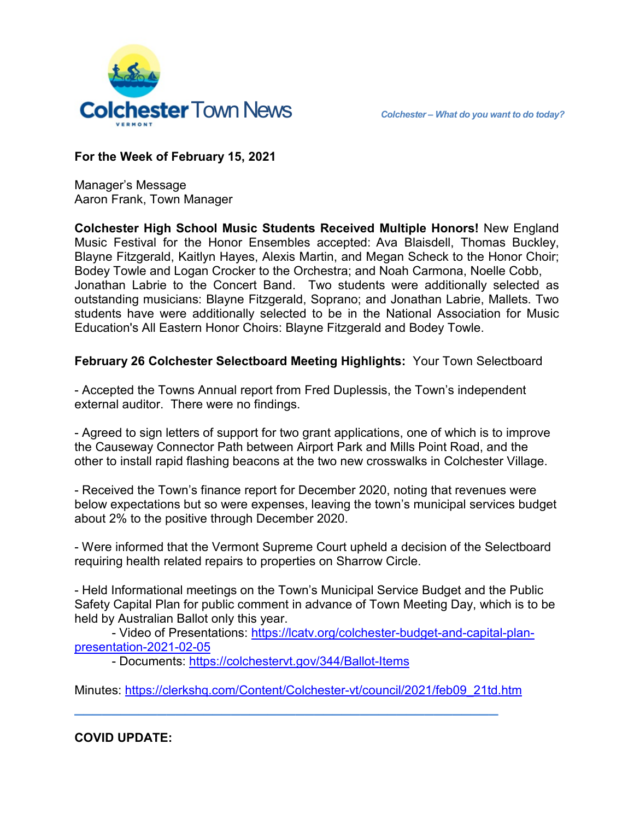

**For the Week of February 15, 2021** 

Manager's Message Aaron Frank, Town Manager

**Colchester High School Music Students Received Multiple Honors!** New England Music Festival for the Honor Ensembles accepted: Ava Blaisdell, Thomas Buckley, Blayne Fitzgerald, Kaitlyn Hayes, Alexis Martin, and Megan Scheck to the Honor Choir; Bodey Towle and Logan Crocker to the Orchestra; and Noah Carmona, Noelle Cobb, Jonathan Labrie to the Concert Band. Two students were additionally selected as outstanding musicians: Blayne Fitzgerald, Soprano; and Jonathan Labrie, Mallets. Two students have were additionally selected to be in the National Association for Music Education's All Eastern Honor Choirs: Blayne Fitzgerald and Bodey Towle.

## **February 26 Colchester Selectboard Meeting Highlights:** Your Town Selectboard

- Accepted the Towns Annual report from Fred Duplessis, the Town's independent external auditor. There were no findings.

- Agreed to sign letters of support for two grant applications, one of which is to improve the Causeway Connector Path between Airport Park and Mills Point Road, and the other to install rapid flashing beacons at the two new crosswalks in Colchester Village.

- Received the Town's finance report for December 2020, noting that revenues were below expectations but so were expenses, leaving the town's municipal services budget about 2% to the positive through December 2020.

- Were informed that the Vermont Supreme Court upheld a decision of the Selectboard requiring health related repairs to properties on Sharrow Circle.

- Held Informational meetings on the Town's Municipal Service Budget and the Public Safety Capital Plan for public comment in advance of Town Meeting Day, which is to be held by Australian Ballot only this year.

- Video of Presentations: [https://lcatv.org/colchester-budget-and-capital-plan](https://lcatv.org/colchester-budget-and-capital-plan-presentation-2021-02-05)[presentation-2021-02-05](https://lcatv.org/colchester-budget-and-capital-plan-presentation-2021-02-05)

- Documents:<https://colchestervt.gov/344/Ballot-Items>

Minutes: [https://clerkshq.com/Content/Colchester-vt/council/2021/feb09\\_21td.htm](https://clerkshq.com/Content/Colchester-vt/council/2021/feb09_21td.htm)

**\_\_\_\_\_\_\_\_\_\_\_\_\_\_\_\_\_\_\_\_\_\_\_\_\_\_\_\_\_\_\_\_\_\_\_\_\_\_\_\_\_\_\_\_\_\_** 

**COVID UPDATE:**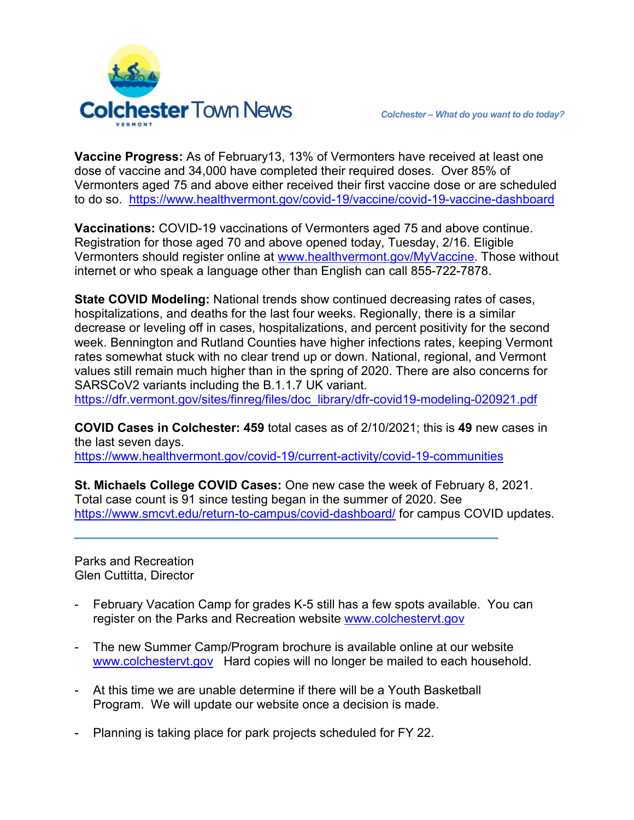

**Vaccine Progress:** As of February13, 13% of Vermonters have received at least one dose of vaccine and 34,000 have completed their required doses. Over 85% of Vermonters aged 75 and above either received their first vaccine dose or are scheduled to do so. <https://www.healthvermont.gov/covid-19/vaccine/covid-19-vaccine-dashboard>

**Vaccinations:** COVID-19 vaccinations of Vermonters aged 75 and above continue. Registration for those aged 70 and above opened today, Tuesday, 2/16. Eligible Vermonters should register online at [www.healthvermont.gov/MyVaccine.](http://www.healthvermont.gov/MyVaccine) Those without internet or who speak a language other than English can call 855-722-7878.

**State COVID Modeling:** National trends show continued decreasing rates of cases, hospitalizations, and deaths for the last four weeks. Regionally, there is a similar decrease or leveling off in cases, hospitalizations, and percent positivity for the second week. Bennington and Rutland Counties have higher infections rates, keeping Vermont rates somewhat stuck with no clear trend up or down. National, regional, and Vermont values still remain much higher than in the spring of 2020. There are also concerns for SARSCoV2 variants including the B.1.1.7 UK variant.

[https://dfr.vermont.gov/sites/finreg/files/doc\\_library/dfr-covid19-modeling-020921.pdf](https://dfr.vermont.gov/sites/finreg/files/doc_library/dfr-covid19-modeling-020921.pdf)

**COVID Cases in Colchester: 459** total cases as of 2/10/2021; this is **49** new cases in the last seven days.

<https://www.healthvermont.gov/covid-19/current-activity/covid-19-communities>

**\_\_\_\_\_\_\_\_\_\_\_\_\_\_\_\_\_\_\_\_\_\_\_\_\_\_\_\_\_\_\_\_\_\_\_\_\_\_\_\_\_\_\_\_\_\_**

**St. Michaels College COVID Cases:** One new case the week of February 8, 2021. Total case count is 91 since testing began in the summer of 2020. See <https://www.smcvt.edu/return-to-campus/covid-dashboard/>for campus COVID updates.

Parks and Recreation Glen Cuttitta, Director

- February Vacation Camp for grades K-5 still has a few spots available. You can register on the Parks and Recreation website [www.colchestervt.gov](http://www.colchestervt.gov/)
- The new Summer Camp/Program brochure is available online at our website [www.colchestervt.gov](http://www.colchestervt.gov/) Hard copies will no longer be mailed to each household.
- At this time we are unable determine if there will be a Youth Basketball Program. We will update our website once a decision is made.
- Planning is taking place for park projects scheduled for FY 22.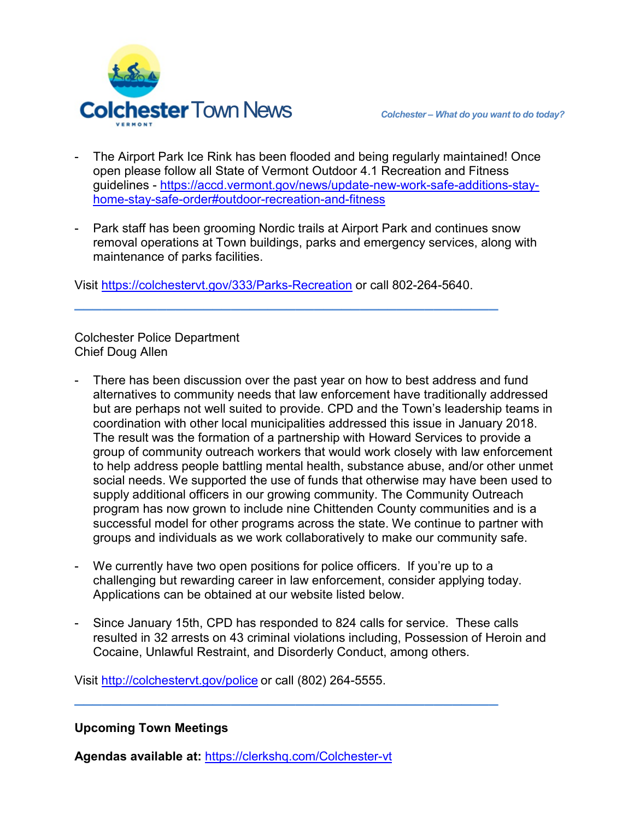

- The Airport Park Ice Rink has been flooded and being regularly maintained! Once open please follow all State of Vermont Outdoor 4.1 Recreation and Fitness guidelines - [https://accd.vermont.gov/news/update-new-work-safe-additions-stay](https://accd.vermont.gov/news/update-new-work-safe-additions-stay-home-stay-safe-order#outdoor-recreation-and-fitness)[home-stay-safe-order#outdoor-recreation-and-fitness](https://accd.vermont.gov/news/update-new-work-safe-additions-stay-home-stay-safe-order#outdoor-recreation-and-fitness)
- Park staff has been grooming Nordic trails at Airport Park and continues snow removal operations at Town buildings, parks and emergency services, along with maintenance of parks facilities.

Visit<https://colchestervt.gov/333/Parks-Recreation>or call 802-264-5640.

**\_\_\_\_\_\_\_\_\_\_\_\_\_\_\_\_\_\_\_\_\_\_\_\_\_\_\_\_\_\_\_\_\_\_\_\_\_\_\_\_\_\_\_\_\_\_** 

Colchester Police Department Chief Doug Allen

- There has been discussion over the past year on how to best address and fund alternatives to community needs that law enforcement have traditionally addressed but are perhaps not well suited to provide. CPD and the Town's leadership teams in coordination with other local municipalities addressed this issue in January 2018. The result was the formation of a partnership with Howard Services to provide a group of community outreach workers that would work closely with law enforcement to help address people battling mental health, substance abuse, and/or other unmet social needs. We supported the use of funds that otherwise may have been used to supply additional officers in our growing community. The Community Outreach program has now grown to include nine Chittenden County communities and is a successful model for other programs across the state. We continue to partner with groups and individuals as we work collaboratively to make our community safe.
- We currently have two open positions for police officers. If you're up to a challenging but rewarding career in law enforcement, consider applying today. Applications can be obtained at our website listed below.

**\_\_\_\_\_\_\_\_\_\_\_\_\_\_\_\_\_\_\_\_\_\_\_\_\_\_\_\_\_\_\_\_\_\_\_\_\_\_\_\_\_\_\_\_\_\_** 

- Since January 15th, CPD has responded to 824 calls for service. These calls resulted in 32 arrests on 43 criminal violations including, Possession of Heroin and Cocaine, Unlawful Restraint, and Disorderly Conduct, among others.

Visit http://colchestervt.gov/police or call (802) 264-5555.

**Upcoming Town Meetings** 

**Agendas available at:** <https://clerkshq.com/Colchester-vt>